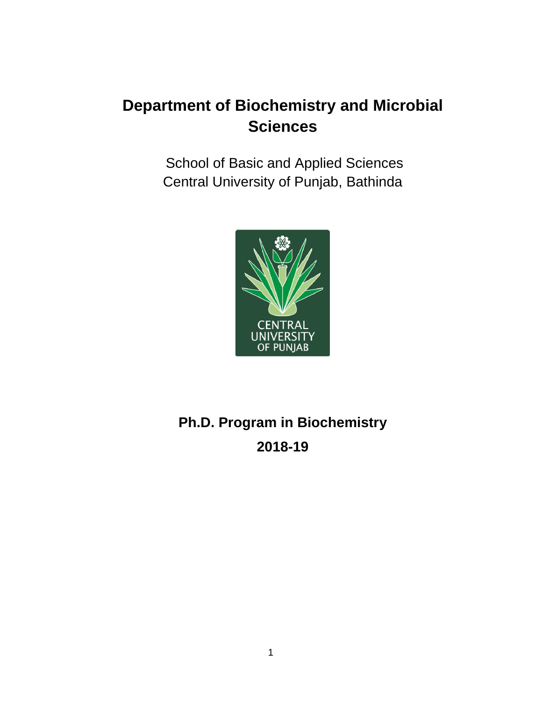## **Department of Biochemistry and Microbial Sciences**

School of Basic and Applied Sciences Central University of Punjab, Bathinda



## **Ph.D. Program in Biochemistry 2018-19**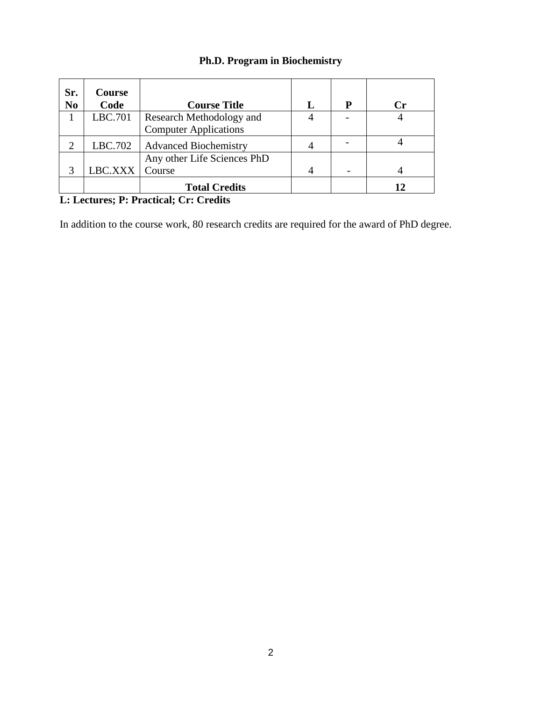## **Ph.D. Program in Biochemistry**

| Sr.<br>N <sub>0</sub> | <b>Course</b><br>Code | <b>Course Title</b>          | P | Сr |
|-----------------------|-----------------------|------------------------------|---|----|
|                       | LBC.701               | Research Methodology and     |   |    |
|                       |                       | <b>Computer Applications</b> |   |    |
|                       | LBC.702               | <b>Advanced Biochemistry</b> |   |    |
|                       |                       | Any other Life Sciences PhD  |   |    |
|                       | LBC.XXX               | Course                       |   |    |
|                       |                       | <b>Total Credits</b>         |   | 12 |

## **L: Lectures; P: Practical; Cr: Credits**

In addition to the course work, 80 research credits are required for the award of PhD degree.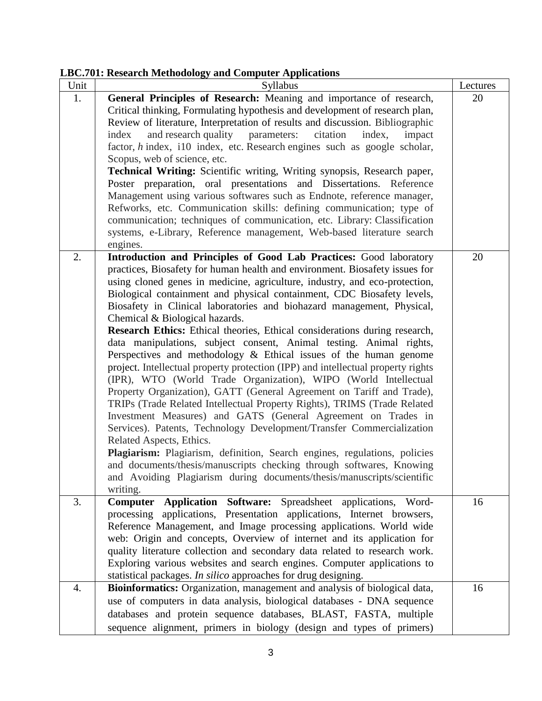**LBC.701: Research Methodology and Computer Applications**

|      | $\frac{1}{2}$ . The case of the corresponding $\frac{1}{2}$ and $\frac{1}{2}$ compared to particularly                                        |          |
|------|-----------------------------------------------------------------------------------------------------------------------------------------------|----------|
| Unit | Syllabus                                                                                                                                      | Lectures |
| 1.   | General Principles of Research: Meaning and importance of research,                                                                           | 20       |
|      | Critical thinking, Formulating hypothesis and development of research plan,                                                                   |          |
|      | Review of literature, Interpretation of results and discussion. Bibliographic                                                                 |          |
|      | and research quality parameters: citation<br>index<br>index,<br>impact                                                                        |          |
|      | factor, h index, i10 index, etc. Research engines such as google scholar,                                                                     |          |
|      | Scopus, web of science, etc.                                                                                                                  |          |
|      | Technical Writing: Scientific writing, Writing synopsis, Research paper,                                                                      |          |
|      | Poster preparation, oral presentations and Dissertations. Reference                                                                           |          |
|      | Management using various softwares such as Endnote, reference manager,                                                                        |          |
|      | Refworks, etc. Communication skills: defining communication; type of                                                                          |          |
|      | communication; techniques of communication, etc. Library: Classification                                                                      |          |
|      | systems, e-Library, Reference management, Web-based literature search                                                                         |          |
|      | engines.                                                                                                                                      |          |
| 2.   | Introduction and Principles of Good Lab Practices: Good laboratory                                                                            | 20       |
|      | practices, Biosafety for human health and environment. Biosafety issues for                                                                   |          |
|      | using cloned genes in medicine, agriculture, industry, and eco-protection,                                                                    |          |
|      | Biological containment and physical containment, CDC Biosafety levels,                                                                        |          |
|      | Biosafety in Clinical laboratories and biohazard management, Physical,                                                                        |          |
|      | Chemical & Biological hazards.                                                                                                                |          |
|      | Research Ethics: Ethical theories, Ethical considerations during research,                                                                    |          |
|      | data manipulations, subject consent, Animal testing. Animal rights,                                                                           |          |
|      | Perspectives and methodology $\&$ Ethical issues of the human genome                                                                          |          |
|      | project. Intellectual property protection (IPP) and intellectual property rights                                                              |          |
|      | (IPR), WTO (World Trade Organization), WIPO (World Intellectual                                                                               |          |
|      | Property Organization), GATT (General Agreement on Tariff and Trade),                                                                         |          |
|      | TRIPs (Trade Related Intellectual Property Rights), TRIMS (Trade Related                                                                      |          |
|      | Investment Measures) and GATS (General Agreement on Trades in                                                                                 |          |
|      | Services). Patents, Technology Development/Transfer Commercialization                                                                         |          |
|      | Related Aspects, Ethics.                                                                                                                      |          |
|      | Plagiarism: Plagiarism, definition, Search engines, regulations, policies                                                                     |          |
|      | and documents/thesis/manuscripts checking through softwares, Knowing                                                                          |          |
|      |                                                                                                                                               |          |
|      | and Avoiding Plagiarism during documents/thesis/manuscripts/scientific                                                                        |          |
| 3.   | writing.                                                                                                                                      |          |
|      | Application Software: Spreadsheet applications, Word-<br>Computer                                                                             | 16       |
|      | processing applications, Presentation applications, Internet browsers,<br>Reference Management, and Image processing applications. World wide |          |
|      |                                                                                                                                               |          |
|      | web: Origin and concepts, Overview of internet and its application for                                                                        |          |
|      | quality literature collection and secondary data related to research work.                                                                    |          |
|      | Exploring various websites and search engines. Computer applications to                                                                       |          |
|      | statistical packages. In silico approaches for drug designing.                                                                                |          |
| 4.   | Bioinformatics: Organization, management and analysis of biological data,                                                                     | 16       |
|      | use of computers in data analysis, biological databases - DNA sequence                                                                        |          |
|      | databases and protein sequence databases, BLAST, FASTA, multiple                                                                              |          |
|      | sequence alignment, primers in biology (design and types of primers)                                                                          |          |